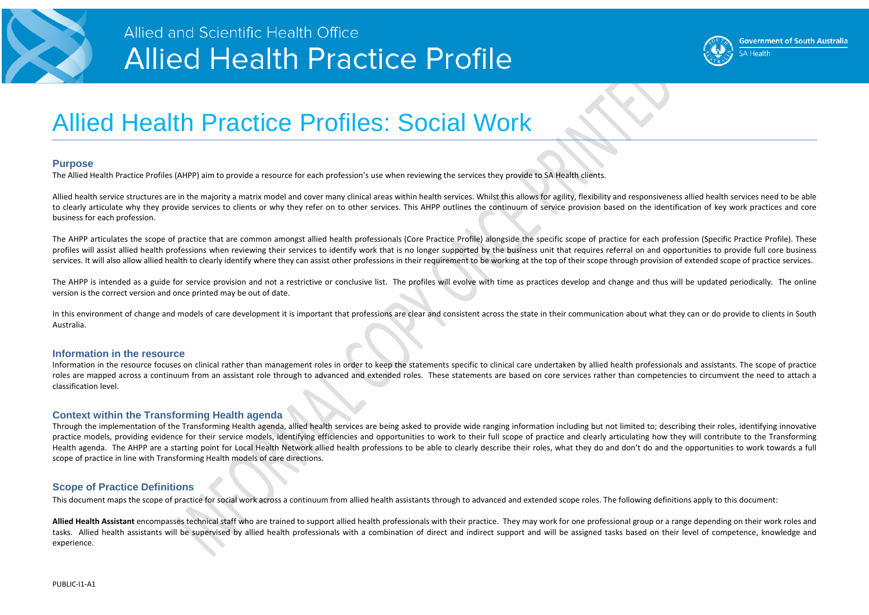

### Allied and Scientific Health Office **Allied Health Practice Profile**

## Allied Health Practice Profiles: Social Work

#### **Purpose**

The Allied Health Practice Profiles (AHPP) aim to provide a resource for each profession's use when reviewing the services they provide to SA Health clients.

Allied health service structures are in the majority a matrix model and cover many clinical areas within health services. Whilst this allows for agility, flexibility and responsiveness allied health services need to be abl to clearly articulate why they provide services to clients or why they refer on to other services. This AHPP outlines the continuum of service provision based on the identification of key work practices and core business for each profession.

The AHPP articulates the scope of practice that are common amongst allied health professionals (Core Practice Profile) alongside the specific scope of practice for each profession (Specific Practice Profile). These profiles will assist allied health professions when reviewing their services to identify work that is no longer supported by the business unit that requires referral on and opportunities to provide full core business services. It will also allow allied health to clearly identify where they can assist other professions in their requirement to be working at the top of their scope through provision of extended scope of practice services.

The AHPP is intended as a guide for service provision and not a restrictive or conclusive list. The profiles will evolve with time as practices develop and change and thus will be updated periodically. The online version is the correct version and once printed may be out of date.

In this environment of change and models of care development it is important that professions are clear and consistent across the state in their communication about what they can or do provide to clients in South Australia.

#### **Information in the resource**

Allied Health Assistant encompasses technical staff who are trained to support allied health professionals with their practice. They may work for one professional group or a range depending on their work roles and tasks. Allied health assistants will be supervised by allied health professionals with a combination of direct and indirect support and will be assigned tasks based on their level of competence, knowledge and experience.

Information in the resource focuses on clinical rather than management roles in order to keep the statements specific to clinical care undertaken by allied health professionals and assistants. The scope of practice roles are mapped across a continuum from an assistant role through to advanced and extended roles. These statements are based on core services rather than competencies to circumvent the need to attach a classification level.

#### **Context within the Transforming Health agenda**

Through the implementation of the Transforming Health agenda, allied health services are being asked to provide wide ranging information including but not limited to; describing their roles, identifying innovative practice models, providing evidence for their service models, identifying efficiencies and opportunities to work to their full scope of practice and clearly articulating how they will contribute to the Transforming Health agenda. The AHPP are a starting point for Local Health Network allied health professions to be able to clearly describe their roles, what they do and don't do and the opportunities to work towards a full scope of practice in line with Transforming Health models of care directions.

#### **Scope of Practice Definitions**

This document maps the scope of practice for social work across a continuum from allied health assistants through to advanced and extended scope roles. The following definitions apply to this document:



**Government of South Australia** SA Health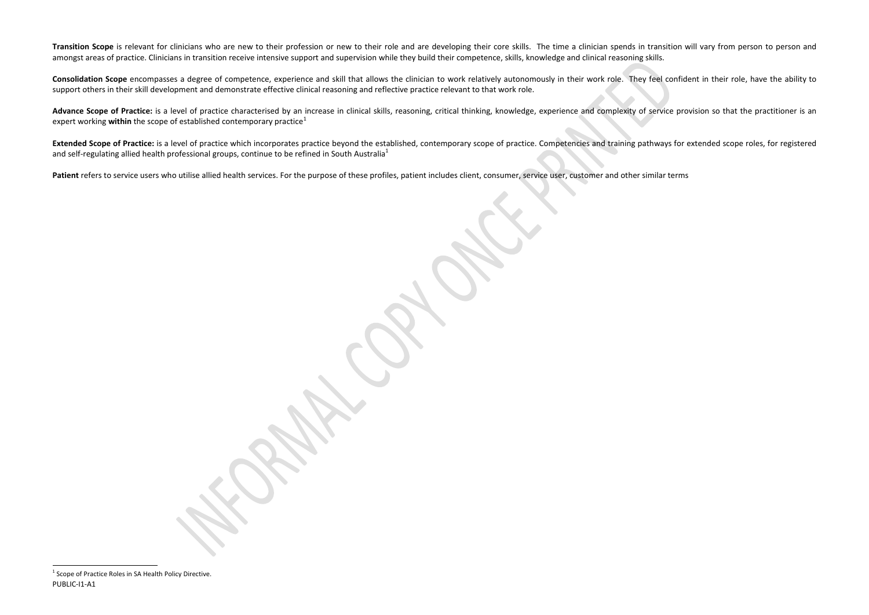<span id="page-1-0"></span>Transition Scope is relevant for clinicians who are new to their profession or new to their role and are developing their core skills. The time a clinician spends in transition will vary from person to person and amongst areas of practice. Clinicians in transition receive intensive support and supervision while they build their competence, skills, knowledge and clinical reasoning skills.

**Consolidation Scope** encompasses a degree of competence, experience and skill that allows the clinician to work relatively autonomously in their work role. They feel confident in their role, have the ability to support others in their skill development and demonstrate effective clinical reasoning and reflective practice relevant to that work role.

Advance Scope of Practice: is a level of practice characterised by an increase in clinical skills, reasoning, critical thinking, knowledge, experience and complexity of service provision so that the practitioner is an expert working **within** the scope of established contemporary practice<sup>[1](#page-1-0)</sup>

Extended Scope of Practice: is a level of practice which incorporates practice beyond the established, contemporary scope of practice. Competencies and training pathways for extended scope roles, for registered and self-regulating allied health professional groups, continue to be refined in South Australia<sup>1</sup>

Patient refers to service users who utilise allied health services. For the purpose of these profiles, patient includes client, consumer, service user, customer and other similar terms

 $\overline{\phantom{a}}$ 

 $1$  Scope of Practice Roles in SA Health Policy Directive. PUBLIC-I1-A1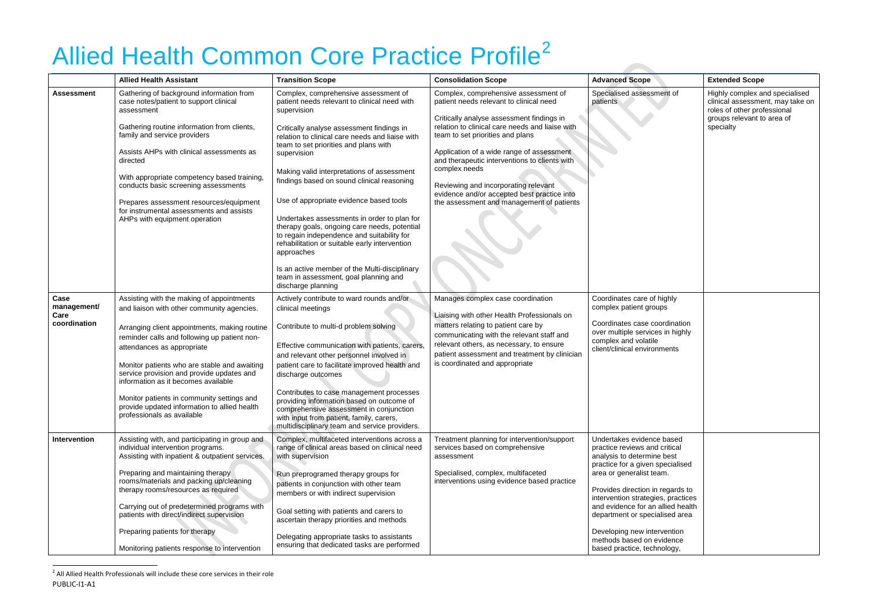# <span id="page-2-0"></span>Allied Health Common Core Practice Profile<sup>[2](#page-2-0)</sup>

|                                             | <b>Allied Health Assistant</b>                                                                                                                                                                                                                                                                                                                                                                                                                                                         | <b>Transition Scope</b>                                                                                                                                                                                                                                                                                                                                                                                                                                                                                                                                                                                                                                                                                                        | <b>Consolidation Scope</b>                                                                                                                                                                                                                                                                                                                                                                                                                                             | <b>Advanced Scope</b>                                                                                                                                                                                                                                                                                                                                                                                | <b>Extended Scope</b>                                                                                                                        |
|---------------------------------------------|----------------------------------------------------------------------------------------------------------------------------------------------------------------------------------------------------------------------------------------------------------------------------------------------------------------------------------------------------------------------------------------------------------------------------------------------------------------------------------------|--------------------------------------------------------------------------------------------------------------------------------------------------------------------------------------------------------------------------------------------------------------------------------------------------------------------------------------------------------------------------------------------------------------------------------------------------------------------------------------------------------------------------------------------------------------------------------------------------------------------------------------------------------------------------------------------------------------------------------|------------------------------------------------------------------------------------------------------------------------------------------------------------------------------------------------------------------------------------------------------------------------------------------------------------------------------------------------------------------------------------------------------------------------------------------------------------------------|------------------------------------------------------------------------------------------------------------------------------------------------------------------------------------------------------------------------------------------------------------------------------------------------------------------------------------------------------------------------------------------------------|----------------------------------------------------------------------------------------------------------------------------------------------|
| <b>Assessment</b>                           | Gathering of background information from<br>case notes/patient to support clinical<br>assessment<br>Gathering routine information from clients,<br>family and service providers<br>Assists AHPs with clinical assessments as<br>directed<br>With appropriate competency based training,<br>conducts basic screening assessments<br>Prepares assessment resources/equipment<br>for instrumental assessments and assists<br>AHPs with equipment operation                                | Complex, comprehensive assessment of<br>patient needs relevant to clinical need with<br>supervision<br>Critically analyse assessment findings in<br>relation to clinical care needs and liaise with<br>team to set priorities and plans with<br>supervision<br>Making valid interpretations of assessment<br>findings based on sound clinical reasoning<br>Use of appropriate evidence based tools<br>Undertakes assessments in order to plan for<br>therapy goals, ongoing care needs, potential<br>to regain independence and suitability for<br>rehabilitation or suitable early intervention<br>approaches<br>Is an active member of the Multi-disciplinary<br>team in assessment, goal planning and<br>discharge planning | Complex, comprehensive assessment of<br>patient needs relevant to clinical need<br>Critically analyse assessment findings in<br>relation to clinical care needs and liaise with<br>team to set priorities and plans<br>Application of a wide range of assessment<br>and therapeutic interventions to clients with<br>complex needs<br>Reviewing and incorporating relevant<br>evidence and/or accepted best practice into<br>the assessment and management of patients | Specialised assessment of<br>patients                                                                                                                                                                                                                                                                                                                                                                | Highly complex and specialised<br>clinical assessment, may take on<br>roles of other professional<br>groups relevant to area of<br>specialty |
| Case<br>management/<br>Care<br>coordination | Assisting with the making of appointments<br>and liaison with other community agencies.<br>Arranging client appointments, making routine<br>reminder calls and following up patient non-<br>attendances as appropriate<br>Monitor patients who are stable and awaiting<br>service provision and provide updates and<br>information as it becomes available<br>Monitor patients in community settings and<br>provide updated information to allied health<br>professionals as available | Actively contribute to ward rounds and/or<br>clinical meetings<br>Contribute to multi-d problem solving<br>Effective communication with patients, carers,<br>and relevant other personnel involved in<br>patient care to facilitate improved health and<br>discharge outcomes<br>Contributes to case management processes<br>providing information based on outcome of<br>comprehensive assessment in conjunction<br>with input from patient, family, carers,<br>multidisciplinary team and service providers.                                                                                                                                                                                                                 | Manages complex case coordination<br>Liaising with other Health Professionals on<br>matters relating to patient care by<br>communicating with the relevant staff and<br>relevant others, as necessary, to ensure<br>patient assessment and treatment by clinician<br>is coordinated and appropriate                                                                                                                                                                    | Coordinates care of highly<br>complex patient groups<br>Coordinates case coordination<br>over multiple services in highly<br>complex and volatile<br>client/clinical environments                                                                                                                                                                                                                    |                                                                                                                                              |
| Intervention                                | Assisting with, and participating in group and<br>individual intervention programs.<br>Assisting with inpatient & outpatient services.<br>Preparing and maintaining therapy<br>rooms/materials and packing up/cleaning<br>therapy rooms/resources as required<br>Carrying out of predetermined programs with<br>patients with direct/indirect supervision<br>Preparing patients for therapy<br>Monitoring patients response to intervention                                            | Complex, multifaceted interventions across a<br>range of clinical areas based on clinical need<br>with supervision<br>Run preprogramed therapy groups for<br>patients in conjunction with other team<br>members or with indirect supervision<br>Goal setting with patients and carers to<br>ascertain therapy priorities and methods<br>Delegating appropriate tasks to assistants<br>ensuring that dedicated tasks are performed                                                                                                                                                                                                                                                                                              | Treatment planning for intervention/support<br>services based on comprehensive<br>assessment<br>Specialised, complex, multifaceted<br>interventions using evidence based practice                                                                                                                                                                                                                                                                                      | Undertakes evidence based<br>practice reviews and critical<br>analysis to determine best<br>practice for a given specialised<br>area or generalist team.<br>Provides direction in regards to<br>intervention strategies, practices<br>and evidence for an allied health<br>department or specialised area<br>Developing new intervention<br>methods based on evidence<br>based practice, technology, |                                                                                                                                              |

 $^2$  All Allied Health Professionals will include these core services in their role PUBLIC-I1-A1

 $\overline{\phantom{a}}$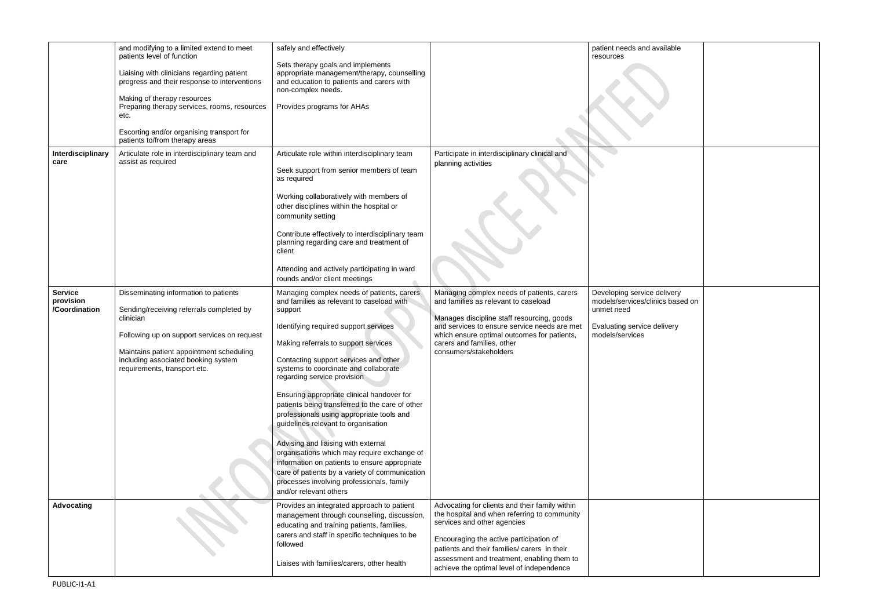|                                              | and modifying to a limited extend to meet<br>patients level of function<br>Liaising with clinicians regarding patient<br>progress and their response to interventions<br>Making of therapy resources<br>Preparing therapy services, rooms, resources<br>etc.<br>Escorting and/or organising transport for<br>patients to/from therapy areas | safely and effectively<br>Sets therapy goals and implements<br>appropriate management/therapy, counselling<br>and education to patients and carers with<br>non-complex needs.<br>Provides programs for AHAs                                                                                                                                                                                                                                                                                                                                                                                                                                                                                                                                               |                                                                                                                                                                                                                                                                                                                     | patient needs and available<br>resources                                                                                        |
|----------------------------------------------|---------------------------------------------------------------------------------------------------------------------------------------------------------------------------------------------------------------------------------------------------------------------------------------------------------------------------------------------|-----------------------------------------------------------------------------------------------------------------------------------------------------------------------------------------------------------------------------------------------------------------------------------------------------------------------------------------------------------------------------------------------------------------------------------------------------------------------------------------------------------------------------------------------------------------------------------------------------------------------------------------------------------------------------------------------------------------------------------------------------------|---------------------------------------------------------------------------------------------------------------------------------------------------------------------------------------------------------------------------------------------------------------------------------------------------------------------|---------------------------------------------------------------------------------------------------------------------------------|
| Interdisciplinary<br>care                    | Articulate role in interdisciplinary team and<br>assist as required                                                                                                                                                                                                                                                                         | Articulate role within interdisciplinary team<br>Seek support from senior members of team<br>as required<br>Working collaboratively with members of<br>other disciplines within the hospital or<br>community setting<br>Contribute effectively to interdisciplinary team<br>planning regarding care and treatment of<br>client<br>Attending and actively participating in ward<br>rounds and/or client meetings                                                                                                                                                                                                                                                                                                                                           | Participate in interdisciplinary clinical and<br>planning activities                                                                                                                                                                                                                                                |                                                                                                                                 |
| <b>Service</b><br>provision<br>/Coordination | Disseminating information to patients<br>Sending/receiving referrals completed by<br>clinician<br>Following up on support services on request<br>Maintains patient appointment scheduling<br>including associated booking system<br>requirements, transport etc.                                                                            | Managing complex needs of patients, carers<br>and families as relevant to caseload with<br>support<br>Identifying required support services<br>Making referrals to support services<br>Contacting support services and other<br>systems to coordinate and collaborate<br>regarding service provision<br>Ensuring appropriate clinical handover for<br>patients being transferred to the care of other<br>professionals using appropriate tools and<br>guidelines relevant to organisation<br>Advising and liaising with external<br>organisations which may require exchange of<br>information on patients to ensure appropriate<br>care of patients by a variety of communication<br>processes involving professionals, family<br>and/or relevant others | Managing complex needs of patients, carers<br>and families as relevant to caseload<br>Manages discipline staff resourcing, goods<br>and services to ensure service needs are met<br>which ensure optimal outcomes for patients,<br>carers and families, other<br>consumers/stakeholders                             | Developing service delivery<br>models/services/clinics based on<br>unmet need<br>Evaluating service delivery<br>models/services |
| <b>Advocating</b>                            |                                                                                                                                                                                                                                                                                                                                             | Provides an integrated approach to patient<br>management through counselling, discussion,<br>educating and training patients, families,<br>carers and staff in specific techniques to be<br>followed<br>Liaises with families/carers, other health                                                                                                                                                                                                                                                                                                                                                                                                                                                                                                        | Advocating for clients and their family within<br>the hospital and when referring to community<br>services and other agencies<br>Encouraging the active participation of<br>patients and their families/ carers in their<br>assessment and treatment, enabling them to<br>achieve the optimal level of independence |                                                                                                                                 |

| available                          |  |
|------------------------------------|--|
|                                    |  |
|                                    |  |
|                                    |  |
|                                    |  |
|                                    |  |
|                                    |  |
|                                    |  |
|                                    |  |
|                                    |  |
|                                    |  |
|                                    |  |
|                                    |  |
|                                    |  |
|                                    |  |
|                                    |  |
|                                    |  |
|                                    |  |
| —<br>e delivery<br>linics based on |  |
|                                    |  |
| delivery                           |  |
|                                    |  |
|                                    |  |
|                                    |  |
|                                    |  |
|                                    |  |
|                                    |  |
|                                    |  |
|                                    |  |
|                                    |  |
|                                    |  |
|                                    |  |
|                                    |  |
|                                    |  |
|                                    |  |
|                                    |  |
|                                    |  |
|                                    |  |
|                                    |  |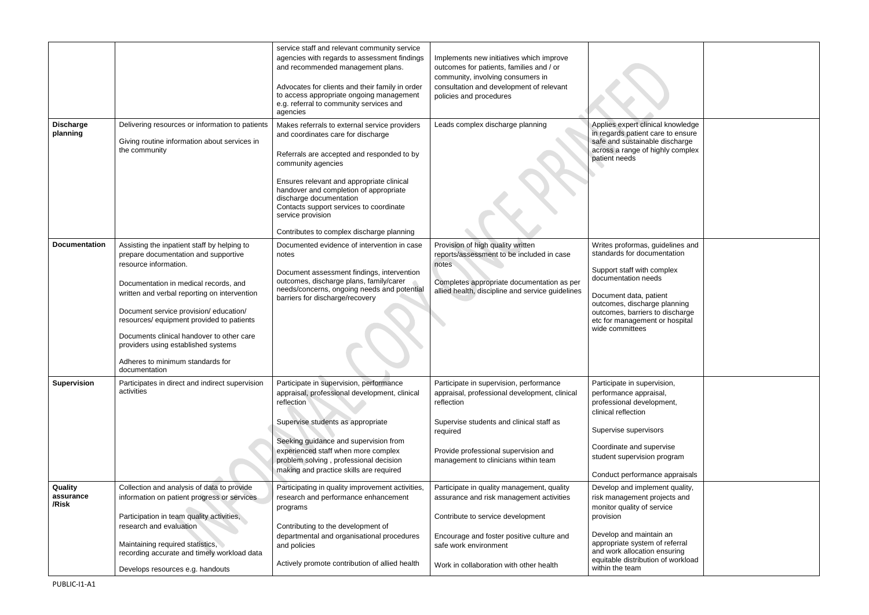|                               |                                                                                                                                                                                                                                                                                                                                                                                                                                      | service staff and relevant community service<br>agencies with regards to assessment findings<br>and recommended management plans.<br>Advocates for clients and their family in order<br>to access appropriate ongoing management<br>e.g. referral to community services and<br>agencies                                                                                                | Implements new initiatives which improve<br>outcomes for patients, families and / or<br>community, involving consumers in<br>consultation and development of relevant<br>policies and procedures                                               |                                                                                                                                                                                                                                                                        |  |
|-------------------------------|--------------------------------------------------------------------------------------------------------------------------------------------------------------------------------------------------------------------------------------------------------------------------------------------------------------------------------------------------------------------------------------------------------------------------------------|----------------------------------------------------------------------------------------------------------------------------------------------------------------------------------------------------------------------------------------------------------------------------------------------------------------------------------------------------------------------------------------|------------------------------------------------------------------------------------------------------------------------------------------------------------------------------------------------------------------------------------------------|------------------------------------------------------------------------------------------------------------------------------------------------------------------------------------------------------------------------------------------------------------------------|--|
| <b>Discharge</b><br>planning  | Delivering resources or information to patients<br>Giving routine information about services in<br>the community                                                                                                                                                                                                                                                                                                                     | Makes referrals to external service providers<br>and coordinates care for discharge<br>Referrals are accepted and responded to by<br>community agencies<br>Ensures relevant and appropriate clinical<br>handover and completion of appropriate<br>discharge documentation<br>Contacts support services to coordinate<br>service provision<br>Contributes to complex discharge planning | Leads complex discharge planning                                                                                                                                                                                                               | Applies expert clinical knowledge<br>in regards patient care to ensure<br>safe and sustainable discharge<br>across a range of highly complex<br>patient needs                                                                                                          |  |
| <b>Documentation</b>          | Assisting the inpatient staff by helping to<br>prepare documentation and supportive<br>resource information.<br>Documentation in medical records, and<br>written and verbal reporting on intervention<br>Document service provision/education/<br>resources/ equipment provided to patients<br>Documents clinical handover to other care<br>providers using established systems<br>Adheres to minimum standards for<br>documentation | Documented evidence of intervention in case<br>notes<br>Document assessment findings, intervention<br>outcomes, discharge plans, family/carer<br>needs/concerns, ongoing needs and potential<br>barriers for discharge/recovery                                                                                                                                                        | Provision of high quality written<br>reports/assessment to be included in case<br>notes<br>Completes appropriate documentation as per<br>allied health, discipline and service guidelines                                                      | Writes proformas, guidelines and<br>standards for documentation<br>Support staff with complex<br>documentation needs<br>Document data, patient<br>outcomes, discharge planning<br>outcomes, barriers to discharge<br>etc for management or hospital<br>wide committees |  |
| <b>Supervision</b>            | Participates in direct and indirect supervision<br>activities                                                                                                                                                                                                                                                                                                                                                                        | Participate in supervision, performance<br>appraisal, professional development, clinical<br>reflection<br>Supervise students as appropriate<br>Seeking guidance and supervision from<br>experienced staff when more complex<br>problem solving, professional decision<br>making and practice skills are required                                                                       | Participate in supervision, performance<br>appraisal, professional development, clinical<br>reflection<br>Supervise students and clinical staff as<br>required<br>Provide professional supervision and<br>management to clinicians within team | Participate in supervision,<br>performance appraisal,<br>professional development,<br>clinical reflection<br>Supervise supervisors<br>Coordinate and supervise<br>student supervision program<br>Conduct performance appraisals                                        |  |
| Quality<br>assurance<br>/Risk | Collection and analysis of data to provide<br>information on patient progress or services<br>Participation in team quality activities,<br>research and evaluation<br>Maintaining required statistics,<br>recording accurate and timely workload data<br>Develops resources e.g. handouts                                                                                                                                             | Participating in quality improvement activities,<br>research and performance enhancement<br>programs<br>Contributing to the development of<br>departmental and organisational procedures<br>and policies<br>Actively promote contribution of allied health                                                                                                                             | Participate in quality management, quality<br>assurance and risk management activities<br>Contribute to service development<br>Encourage and foster positive culture and<br>safe work environment<br>Work in collaboration with other health   | Develop and implement quality,<br>risk management projects and<br>monitor quality of service<br>provision<br>Develop and maintain an<br>appropriate system of referral<br>and work allocation ensuring<br>equitable distribution of workload<br>within the team        |  |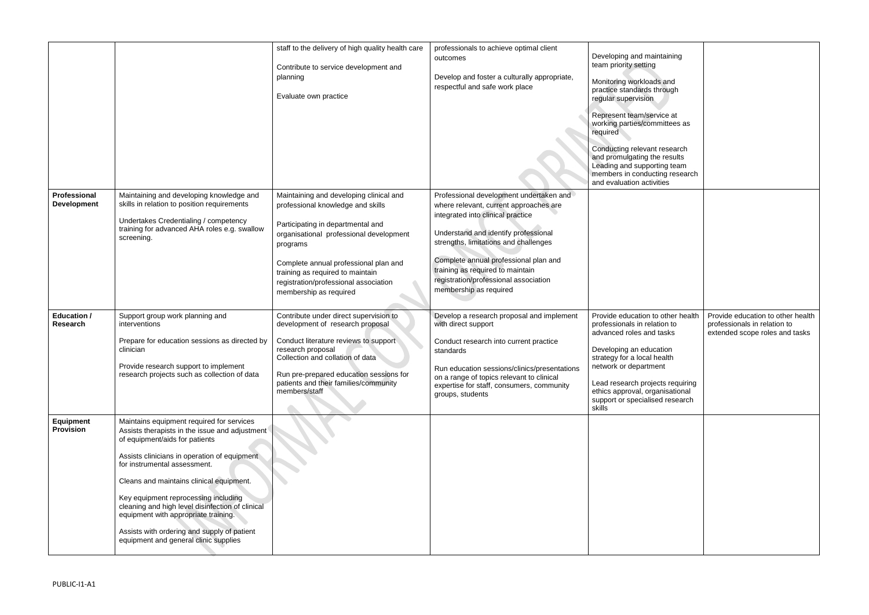|                                    |                                                                                                                                                                                                                                                                                                                                                                                                                                                                                       | staff to the delivery of high quality health care<br>Contribute to service development and<br>planning<br>Evaluate own practice                                                                                                                                                                                          | professionals to achieve optimal client<br>outcomes<br>Develop and foster a culturally appropriate,<br>respectful and safe work place                                                                                                                                                                                                                   | Developing and maintaining<br>team priority setting<br>Monitoring workloads and<br>practice standards through<br>regular supervision<br>Represent team/service at<br>working parties/committees as<br>required<br>Conducting relevant research<br>and promulgating the results<br>Leading and supporting team<br>members in conducting research<br>and evaluation activities |                                                                                                     |
|------------------------------------|---------------------------------------------------------------------------------------------------------------------------------------------------------------------------------------------------------------------------------------------------------------------------------------------------------------------------------------------------------------------------------------------------------------------------------------------------------------------------------------|--------------------------------------------------------------------------------------------------------------------------------------------------------------------------------------------------------------------------------------------------------------------------------------------------------------------------|---------------------------------------------------------------------------------------------------------------------------------------------------------------------------------------------------------------------------------------------------------------------------------------------------------------------------------------------------------|------------------------------------------------------------------------------------------------------------------------------------------------------------------------------------------------------------------------------------------------------------------------------------------------------------------------------------------------------------------------------|-----------------------------------------------------------------------------------------------------|
| Professional<br><b>Development</b> | Maintaining and developing knowledge and<br>skills in relation to position requirements<br>Undertakes Credentialing / competency<br>training for advanced AHA roles e.g. swallow<br>screening.                                                                                                                                                                                                                                                                                        | Maintaining and developing clinical and<br>professional knowledge and skills<br>Participating in departmental and<br>organisational professional development<br>programs<br>Complete annual professional plan and<br>training as required to maintain<br>registration/professional association<br>membership as required | Professional development undertaken and<br>where relevant, current approaches are<br>integrated into clinical practice<br>Understand and identify professional<br>strengths, limitations and challenges<br>Complete annual professional plan and<br>training as required to maintain<br>registration/professional association<br>membership as required |                                                                                                                                                                                                                                                                                                                                                                              |                                                                                                     |
| <b>Education /</b><br>Research     | Support group work planning and<br>interventions<br>Prepare for education sessions as directed by<br>clinician<br>Provide research support to implement<br>research projects such as collection of data                                                                                                                                                                                                                                                                               | Contribute under direct supervision to<br>development of research proposal<br>Conduct literature reviews to support<br>research proposal<br>Collection and collation of data<br>Run pre-prepared education sessions for<br>patients and their families/community<br>members/staff                                        | Develop a research proposal and implement<br>with direct support<br>Conduct research into current practice<br>standards<br>Run education sessions/clinics/presentations<br>on a range of topics relevant to clinical<br>expertise for staff, consumers, community<br>groups, students                                                                   | Provide education to other health<br>professionals in relation to<br>advanced roles and tasks<br>Developing an education<br>strategy for a local health<br>network or department<br>Lead research projects requiring<br>ethics approval, organisational<br>support or specialised research<br>skills                                                                         | Provide education to other health<br>professionals in relation to<br>extended scope roles and tasks |
| Equipment<br><b>Provision</b>      | Maintains equipment required for services<br>Assists therapists in the issue and adjustment<br>of equipment/aids for patients<br>Assists clinicians in operation of equipment<br>for instrumental assessment.<br>Cleans and maintains clinical equipment.<br>Key equipment reprocessing including<br>cleaning and high level disinfection of clinical<br>equipment with appropriate training.<br>Assists with ordering and supply of patient<br>equipment and general clinic supplies |                                                                                                                                                                                                                                                                                                                          |                                                                                                                                                                                                                                                                                                                                                         |                                                                                                                                                                                                                                                                                                                                                                              |                                                                                                     |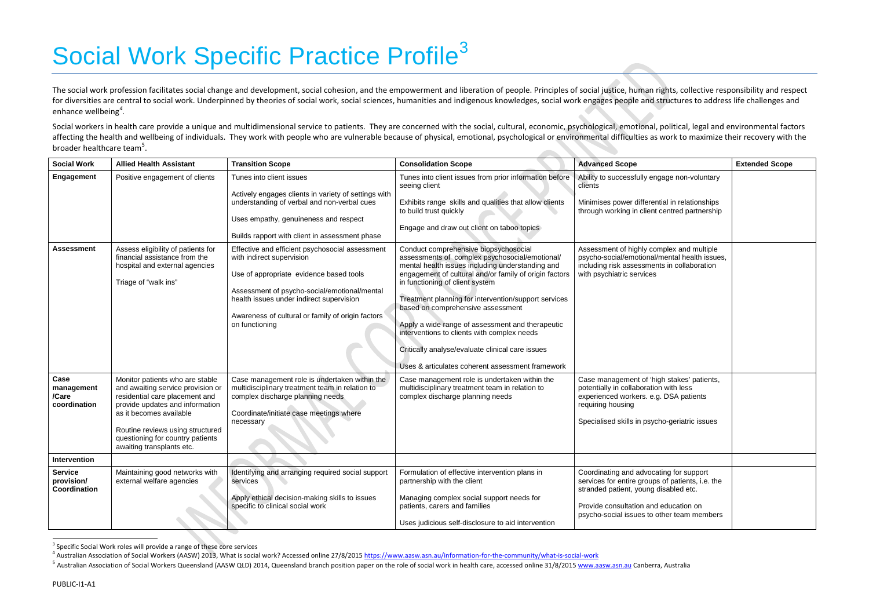# Social Work Specific Practice Profile<sup>[3](#page-6-0)</sup>

The social work profession facilitates social change and development, social cohesion, and the empowerment and liberation of people. Principles of social justice, human rights, collective responsibility and respect for diversities are central to social work. Underpinned by theories of social work, social sciences, humanities and indigenous knowledges, social work engages people and structures to address life challenges and enhance wellbeing*[4](#page-6-1) .*

Social workers in health care provide a unique and multidimensional service to patients. They are concerned with the social, cultural, economic, psychological, emotional, political, legal and environmental factors affecting the health and wellbeing of individuals. They work with people who are vulnerable because of physical, emotional, psychological or environmental difficulties as work to maximize their recovery with the broader healthcare team<sup>[5](#page-6-2)</sup>.

| <b>Social Work</b>                           | <b>Allied Health Assistant</b>                                                                                                                                                                                                                                            | <b>Transition Scope</b>                                                                                                                                                                                                                                                                    | <b>Consolidation Scope</b>                                                                                                                                                                                                                                                                                                                                                                                                                                                                                                                       | <b>Advanced Scope</b>                                                                                                                                                                                | <b>Extended Scope</b> |
|----------------------------------------------|---------------------------------------------------------------------------------------------------------------------------------------------------------------------------------------------------------------------------------------------------------------------------|--------------------------------------------------------------------------------------------------------------------------------------------------------------------------------------------------------------------------------------------------------------------------------------------|--------------------------------------------------------------------------------------------------------------------------------------------------------------------------------------------------------------------------------------------------------------------------------------------------------------------------------------------------------------------------------------------------------------------------------------------------------------------------------------------------------------------------------------------------|------------------------------------------------------------------------------------------------------------------------------------------------------------------------------------------------------|-----------------------|
| Engagement                                   | Positive engagement of clients                                                                                                                                                                                                                                            | Tunes into client issues<br>Actively engages clients in variety of settings with                                                                                                                                                                                                           | Tunes into client issues from prior information before<br>seeing client                                                                                                                                                                                                                                                                                                                                                                                                                                                                          | Ability to successfully engage non-voluntary<br>clients                                                                                                                                              |                       |
|                                              |                                                                                                                                                                                                                                                                           | understanding of verbal and non-verbal cues                                                                                                                                                                                                                                                | Exhibits range skills and qualities that allow clients<br>to build trust quickly                                                                                                                                                                                                                                                                                                                                                                                                                                                                 | Minimises power differential in relationships<br>through working in client centred partnership                                                                                                       |                       |
|                                              |                                                                                                                                                                                                                                                                           | Uses empathy, genuineness and respect<br>Builds rapport with client in assessment phase                                                                                                                                                                                                    | Engage and draw out client on taboo topics                                                                                                                                                                                                                                                                                                                                                                                                                                                                                                       |                                                                                                                                                                                                      |                       |
| <b>Assessment</b>                            | Assess eligibility of patients for<br>financial assistance from the<br>hospital and external agencies<br>Triage of "walk ins"                                                                                                                                             | Effective and efficient psychosocial assessment<br>with indirect supervision<br>Use of appropriate evidence based tools<br>Assessment of psycho-social/emotional/mental<br>health issues under indirect supervision<br>Awareness of cultural or family of origin factors<br>on functioning | Conduct comprehensive biopsychosocial<br>assessments of complex psychosocial/emotional/<br>mental health issues including understanding and<br>engagement of cultural and/or family of origin factors<br>in functioning of client system<br>Treatment planning for intervention/support services<br>based on comprehensive assessment<br>Apply a wide range of assessment and therapeutic<br>interventions to clients with complex needs<br>Critically analyse/evaluate clinical care issues<br>Uses & articulates coherent assessment framework | Assessment of highly complex and multiple<br>psycho-social/emotional/mental health issues,<br>including risk assessments in collaboration<br>with psychiatric services                               |                       |
| Case<br>management<br>/Care<br>coordination  | Monitor patients who are stable<br>and awaiting service provision or<br>residential care placement and<br>provide updates and information<br>as it becomes available<br>Routine reviews using structured<br>questioning for country patients<br>awaiting transplants etc. | Case management role is undertaken within the<br>multidisciplinary treatment team in relation to<br>complex discharge planning needs<br>Coordinate/initiate case meetings where<br>necessary                                                                                               | Case management role is undertaken within the<br>multidisciplinary treatment team in relation to<br>complex discharge planning needs                                                                                                                                                                                                                                                                                                                                                                                                             | Case management of 'high stakes' patients,<br>potentially in collaboration with less<br>experienced workers. e.g. DSA patients<br>requiring housing<br>Specialised skills in psycho-geriatric issues |                       |
| Intervention                                 |                                                                                                                                                                                                                                                                           |                                                                                                                                                                                                                                                                                            |                                                                                                                                                                                                                                                                                                                                                                                                                                                                                                                                                  |                                                                                                                                                                                                      |                       |
| <b>Service</b><br>provision/<br>Coordination | Maintaining good networks with<br>external welfare agencies                                                                                                                                                                                                               | Identifying and arranging required social support<br>services                                                                                                                                                                                                                              | Formulation of effective intervention plans in<br>partnership with the client                                                                                                                                                                                                                                                                                                                                                                                                                                                                    | Coordinating and advocating for support<br>services for entire groups of patients, i.e. the<br>stranded patient, young disabled etc.                                                                 |                       |
|                                              |                                                                                                                                                                                                                                                                           | Apply ethical decision-making skills to issues<br>specific to clinical social work                                                                                                                                                                                                         | Managing complex social support needs for<br>patients, carers and families<br>Uses judicious self-disclosure to aid intervention                                                                                                                                                                                                                                                                                                                                                                                                                 | Provide consultation and education on<br>psycho-social issues to other team members                                                                                                                  |                       |
|                                              |                                                                                                                                                                                                                                                                           |                                                                                                                                                                                                                                                                                            |                                                                                                                                                                                                                                                                                                                                                                                                                                                                                                                                                  |                                                                                                                                                                                                      |                       |

<sup>&</sup>lt;sup>3</sup> Specific Social Work roles will provide a range of these core services

l

<span id="page-6-2"></span><span id="page-6-1"></span><span id="page-6-0"></span>

|                                                                      | <b>Extended Scope</b> |
|----------------------------------------------------------------------|-----------------------|
| gage non-voluntary                                                   |                       |
| ntial in relationships<br>centred partnership                        |                       |
| mplex and multiple<br>/mental health issues,<br>nts in collaboration |                       |
| igh stakes' patients,<br>on with less<br>g. DSA patients             |                       |
| cho-geriatric issues                                                 |                       |
|                                                                      |                       |
| ating for support<br>s of patients, i.e. the<br>disabled etc.        |                       |
| d education on<br>other team members                                 |                       |

<sup>4</sup> Australian Association of Social Workers (AASW) 2013, What is social work? Accessed online 27/8/2015<https://www.aasw.asn.au/information-for-the-community/what-is-social-work>

<sup>&</sup>lt;sup>5</sup> Australian Association of Social Workers Queensland (AASW QLD) 2014, Queensland branch position paper on the role of social work in health care, accessed online 31/8/2015 [www.aasw.asn.au](http://www.aasw.asn.au/) Canberra, Australia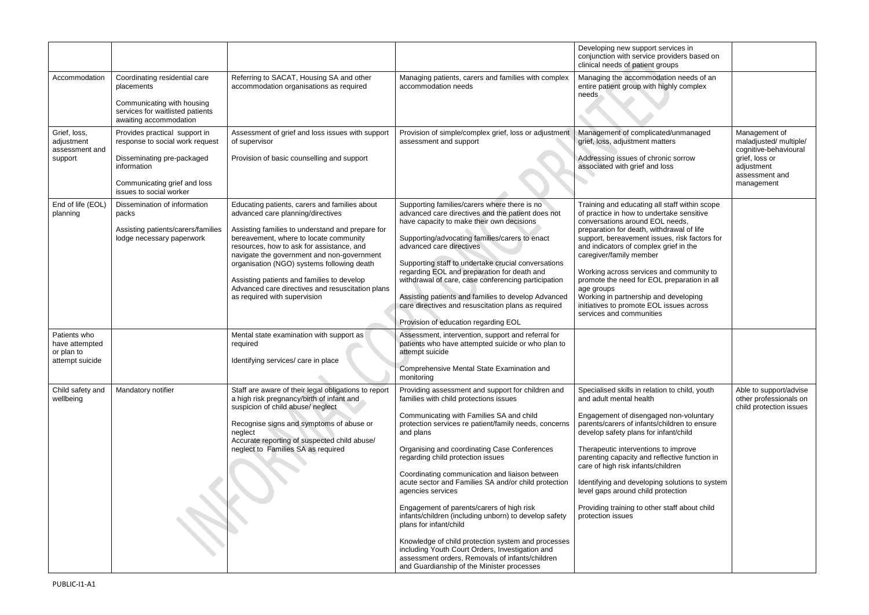|                                                                 |                                                                                                                                                                          |                                                                                                                                                                                                                                                                                                                                                                                                                                                             |                                                                                                                                                                                                                                                                                                                                                                                                                                                                                                                                                                                                                                                                                                                                                                             | Developing new support services in<br>conjunction with service providers based on<br>clinical needs of patient groups                                                                                                                                                                                                                                                                                                                                                                                                      |                                                                                                                                  |
|-----------------------------------------------------------------|--------------------------------------------------------------------------------------------------------------------------------------------------------------------------|-------------------------------------------------------------------------------------------------------------------------------------------------------------------------------------------------------------------------------------------------------------------------------------------------------------------------------------------------------------------------------------------------------------------------------------------------------------|-----------------------------------------------------------------------------------------------------------------------------------------------------------------------------------------------------------------------------------------------------------------------------------------------------------------------------------------------------------------------------------------------------------------------------------------------------------------------------------------------------------------------------------------------------------------------------------------------------------------------------------------------------------------------------------------------------------------------------------------------------------------------------|----------------------------------------------------------------------------------------------------------------------------------------------------------------------------------------------------------------------------------------------------------------------------------------------------------------------------------------------------------------------------------------------------------------------------------------------------------------------------------------------------------------------------|----------------------------------------------------------------------------------------------------------------------------------|
| Accommodation                                                   | Coordinating residential care<br>placements<br>Communicating with housing<br>services for waitlisted patients<br>awaiting accommodation                                  | Referring to SACAT, Housing SA and other<br>accommodation organisations as required                                                                                                                                                                                                                                                                                                                                                                         | Managing patients, carers and families with complex<br>accommodation needs                                                                                                                                                                                                                                                                                                                                                                                                                                                                                                                                                                                                                                                                                                  | Managing the accommodation needs of an<br>entire patient group with highly complex<br>needs                                                                                                                                                                                                                                                                                                                                                                                                                                |                                                                                                                                  |
| Grief, loss,<br>adjustment<br>assessment and<br>support         | Provides practical support in<br>response to social work request<br>Disseminating pre-packaged<br>information<br>Communicating grief and loss<br>issues to social worker | Assessment of grief and loss issues with support<br>of supervisor<br>Provision of basic counselling and support                                                                                                                                                                                                                                                                                                                                             | Provision of simple/complex grief, loss or adjustment<br>assessment and support                                                                                                                                                                                                                                                                                                                                                                                                                                                                                                                                                                                                                                                                                             | Management of complicated/unmanaged<br>grief, loss, adjustment matters<br>Addressing issues of chronic sorrow<br>associated with grief and loss                                                                                                                                                                                                                                                                                                                                                                            | Management of<br>maladjusted/ multiple/<br>cognitive-behavioural<br>grief, loss or<br>adjustment<br>assessment and<br>management |
| End of life (EOL)<br>planning                                   | Dissemination of information<br>packs<br>Assisting patients/carers/families<br>lodge necessary paperwork                                                                 | Educating patients, carers and families about<br>advanced care planning/directives<br>Assisting families to understand and prepare for<br>bereavement, where to locate community<br>resources, how to ask for assistance, and<br>navigate the government and non-government<br>organisation (NGO) systems following death<br>Assisting patients and families to develop<br>Advanced care directives and resuscitation plans<br>as required with supervision | Supporting families/carers where there is no<br>advanced care directives and the patient does not<br>have capacity to make their own decisions<br>Supporting/advocating families/carers to enact<br>advanced care directives<br>Supporting staff to undertake crucial conversations<br>regarding EOL and preparation for death and<br>withdrawal of care, case conferencing participation<br>Assisting patients and families to develop Advanced<br>care directives and resuscitation plans as required<br>Provision of education regarding EOL                                                                                                                                                                                                                             | Training and educating all staff within scope<br>of practice in how to undertake sensitive<br>conversations around EOL needs,<br>preparation for death, withdrawal of life<br>support, bereavement issues, risk factors for<br>and indicators of complex grief in the<br>caregiver/family member<br>Working across services and community to<br>promote the need for EOL preparation in all<br>age groups<br>Working in partnership and developing<br>initiatives to promote EOL issues across<br>services and communities |                                                                                                                                  |
| Patients who<br>have attempted<br>or plan to<br>attempt suicide |                                                                                                                                                                          | Mental state examination with support as<br>required<br>Identifying services/ care in place                                                                                                                                                                                                                                                                                                                                                                 | Assessment, intervention, support and referral for<br>patients who have attempted suicide or who plan to<br>attempt suicide<br>Comprehensive Mental State Examination and<br>monitoring                                                                                                                                                                                                                                                                                                                                                                                                                                                                                                                                                                                     |                                                                                                                                                                                                                                                                                                                                                                                                                                                                                                                            |                                                                                                                                  |
| Child safety and<br>wellbeing                                   | Mandatory notifier                                                                                                                                                       | Staff are aware of their legal obligations to report<br>a high risk pregnancy/birth of infant and<br>suspicion of child abuse/ neglect<br>Recognise signs and symptoms of abuse or<br>neglect<br>Accurate reporting of suspected child abuse/<br>neglect to Families SA as required                                                                                                                                                                         | Providing assessment and support for children and<br>families with child protections issues<br>Communicating with Families SA and child<br>protection services re patient/family needs, concerns<br>and plans<br>Organising and coordinating Case Conferences<br>regarding child protection issues<br>Coordinating communication and liaison between<br>acute sector and Families SA and/or child protection<br>agencies services<br>Engagement of parents/carers of high risk<br>infants/children (including unborn) to develop safety<br>plans for infant/child<br>Knowledge of child protection system and processes<br>including Youth Court Orders, Investigation and<br>assessment orders, Removals of infants/children<br>and Guardianship of the Minister processes | Specialised skills in relation to child, youth<br>and adult mental health<br>Engagement of disengaged non-voluntary<br>parents/carers of infants/children to ensure<br>develop safety plans for infant/child<br>Therapeutic interventions to improve<br>parenting capacity and reflective function in<br>care of high risk infants/children<br>Identifying and developing solutions to system<br>level gaps around child protection<br>Providing training to other staff about child<br>protection issues                  | Able to support/advise<br>other professionals on<br>child protection issues                                                      |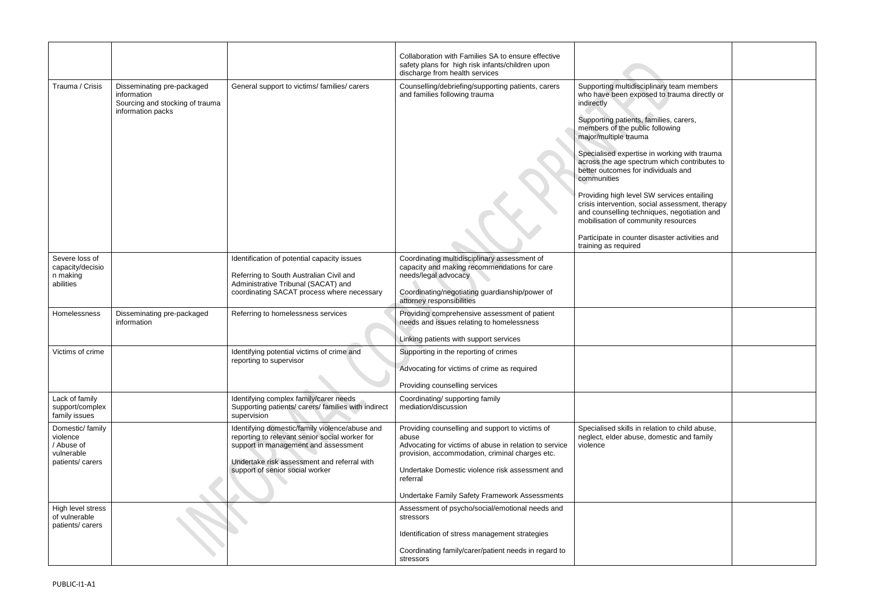|                                                                            |                                                                                                   |                                                                                                                                                                                                                            | Collaboration with Families SA to ensure effective<br>safety plans for high risk infants/children upon<br>discharge from health services                                                                                                                                              |                                                                                                                                                                                                                                                                                                                                                                                                                                                                                                                                                                                                                                     |
|----------------------------------------------------------------------------|---------------------------------------------------------------------------------------------------|----------------------------------------------------------------------------------------------------------------------------------------------------------------------------------------------------------------------------|---------------------------------------------------------------------------------------------------------------------------------------------------------------------------------------------------------------------------------------------------------------------------------------|-------------------------------------------------------------------------------------------------------------------------------------------------------------------------------------------------------------------------------------------------------------------------------------------------------------------------------------------------------------------------------------------------------------------------------------------------------------------------------------------------------------------------------------------------------------------------------------------------------------------------------------|
| Trauma / Crisis                                                            | Disseminating pre-packaged<br>information<br>Sourcing and stocking of trauma<br>information packs | General support to victims/families/carers                                                                                                                                                                                 | Counselling/debriefing/supporting patients, carers<br>and families following trauma                                                                                                                                                                                                   | Supporting multidisciplinary team members<br>who have been exposed to trauma directly or<br>indirectly<br>Supporting patients, families, carers,<br>members of the public following<br>major/multiple trauma<br>Specialised expertise in working with trauma<br>across the age spectrum which contributes to<br>better outcomes for individuals and<br>communities<br>Providing high level SW services entailing<br>crisis intervention, social assessment, therapy<br>and counselling techniques, negotiation and<br>mobilisation of community resources<br>Participate in counter disaster activities and<br>training as required |
| Severe loss of<br>capacity/decisio<br>n making<br>abilities                |                                                                                                   | Identification of potential capacity issues<br>Referring to South Australian Civil and<br>Administrative Tribunal (SACAT) and<br>coordinating SACAT process where necessary                                                | Coordinating multidisciplinary assessment of<br>capacity and making recommendations for care<br>needs/legal advocacy<br>Coordinating/negotiating guardianship/power of<br>attorney responsibilities                                                                                   |                                                                                                                                                                                                                                                                                                                                                                                                                                                                                                                                                                                                                                     |
| Homelessness                                                               | Disseminating pre-packaged<br>information                                                         | Referring to homelessness services                                                                                                                                                                                         | Providing comprehensive assessment of patient<br>needs and issues relating to homelessness<br>Linking patients with support services                                                                                                                                                  |                                                                                                                                                                                                                                                                                                                                                                                                                                                                                                                                                                                                                                     |
| Victims of crime                                                           |                                                                                                   | Identifying potential victims of crime and<br>reporting to supervisor                                                                                                                                                      | Supporting in the reporting of crimes<br>Advocating for victims of crime as required<br>Providing counselling services                                                                                                                                                                |                                                                                                                                                                                                                                                                                                                                                                                                                                                                                                                                                                                                                                     |
| Lack of family<br>support/complex<br>family issues                         |                                                                                                   | Identifying complex family/carer needs<br>Supporting patients/ carers/ families with indirect<br>supervision                                                                                                               | Coordinating/ supporting family<br>mediation/discussion                                                                                                                                                                                                                               |                                                                                                                                                                                                                                                                                                                                                                                                                                                                                                                                                                                                                                     |
| Domestic/family<br>violence<br>/ Abuse of<br>vulnerable<br>patients/carers |                                                                                                   | Identifying domestic/family violence/abuse and<br>reporting to relevant senior social worker for<br>support in management and assessment<br>Undertake risk assessment and referral with<br>support of senior social worker | Providing counselling and support to victims of<br>abuse<br>Advocating for victims of abuse in relation to service<br>provision, accommodation, criminal charges etc.<br>Undertake Domestic violence risk assessment and<br>referral<br>Undertake Family Safety Framework Assessments | Specialised skills in relation to child abuse,<br>neglect, elder abuse, domestic and family<br>violence                                                                                                                                                                                                                                                                                                                                                                                                                                                                                                                             |
| High level stress<br>of vulnerable<br>patients/carers                      |                                                                                                   |                                                                                                                                                                                                                            | Assessment of psycho/social/emotional needs and<br>stressors<br>Identification of stress management strategies<br>Coordinating family/carer/patient needs in regard to<br>stressors                                                                                                   |                                                                                                                                                                                                                                                                                                                                                                                                                                                                                                                                                                                                                                     |

| ary team members<br>to trauma directly or                                         |  |
|-----------------------------------------------------------------------------------|--|
| ilies, carers,<br><b>Ilowing</b>                                                  |  |
| working with trauma<br>which contributes to<br><i>r</i> iduals and                |  |
| services entailing<br>assessment, therapy<br>ues, negotiation and<br>ty resources |  |
| aster activities and                                                              |  |
|                                                                                   |  |
|                                                                                   |  |
|                                                                                   |  |
|                                                                                   |  |
|                                                                                   |  |
| ion to child abuse,<br>mestic and family                                          |  |
|                                                                                   |  |
|                                                                                   |  |
|                                                                                   |  |